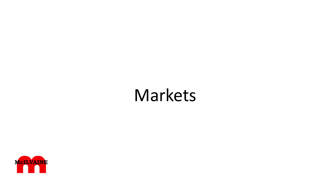# Markets

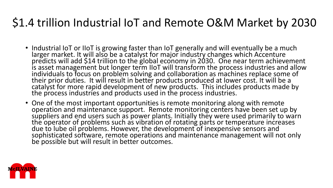# \$1.4 trillion Industrial IoT and Remote O&M Market by 2030

- Industrial IoT or IIoT is growing faster than IoT generally and will eventually be a much larger market. It will also be a catalyst for major industry changes which Accenture predicts will add \$14 trillion to the global economy in 2030. One near term achievement is asset management but longer term IIoT will transform the process industries and allow individuals to focus on problem solving and collaboration as machines replace some of their prior duties. It will result in better products produced at lower cost. It will be a catalyst for more rapid development of new products. This includes products made by the process industries and products used in the process industries.
- One of the most important opportunities is remote monitoring along with remote operation and maintenance support. Remote monitoring centers have been set up by suppliers and end users such as power plants. Initially they were used primarily to warn the operator of problems such as vibration of rotating parts or temperature increases due to lube oil problems. However, the development of inexpensive sensors and sophisticated software, remote operations and maintenance management will not only be possible but will result in better outcomes.

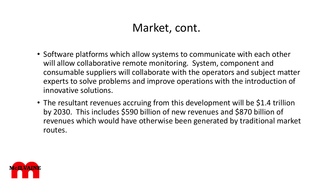### Market, cont.

- Software platforms which allow systems to communicate with each other will allow collaborative remote monitoring. System, component and consumable suppliers will collaborate with the operators and subject matter experts to solve problems and improve operations with the introduction of innovative solutions.
- The resultant revenues accruing from this development will be \$1.4 trillion by 2030. This includes \$590 billion of new revenues and \$870 billion of revenues which would have otherwise been generated by traditional market routes.

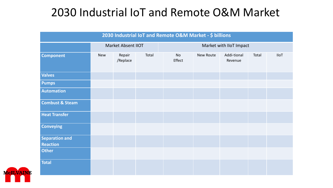## 2030 Industrial IoT and Remote O&M Market

| 2030 Industrial IoT and Remote O&M Market - \$ billions |                           |                    |       |                         |           |                        |       |             |  |
|---------------------------------------------------------|---------------------------|--------------------|-------|-------------------------|-----------|------------------------|-------|-------------|--|
|                                                         | <b>Market Absent IIOT</b> |                    |       | Market with IIoT Impact |           |                        |       |             |  |
| <b>Component</b>                                        | <b>New</b>                | Repair<br>/Replace | Total | <b>No</b><br>Effect     | New Route | Addi-tional<br>Revenue | Total | <b>IIoT</b> |  |
| <b>Valves</b>                                           |                           |                    |       |                         |           |                        |       |             |  |
| <b>Pumps</b>                                            |                           |                    |       |                         |           |                        |       |             |  |
| <b>Automation</b>                                       |                           |                    |       |                         |           |                        |       |             |  |
| <b>Combust &amp; Steam</b>                              |                           |                    |       |                         |           |                        |       |             |  |
| <b>Heat Transfer</b>                                    |                           |                    |       |                         |           |                        |       |             |  |
| <b>Conveying</b>                                        |                           |                    |       |                         |           |                        |       |             |  |
| <b>Separation and</b>                                   |                           |                    |       |                         |           |                        |       |             |  |
| <b>Reaction</b><br><b>Other</b>                         |                           |                    |       |                         |           |                        |       |             |  |
|                                                         |                           |                    |       |                         |           |                        |       |             |  |
| <b>Total</b>                                            |                           |                    |       |                         |           |                        |       |             |  |

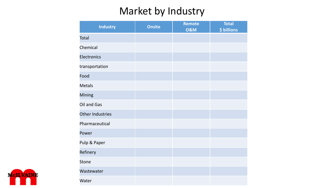### Market by Industry

| <b>Industry</b>  | <b>Onsite</b> | Remote<br><b>O&amp;M</b> | <b>Total</b><br>\$ billions |
|------------------|---------------|--------------------------|-----------------------------|
| Total            |               |                          |                             |
| Chemical         |               |                          |                             |
| Electronics      |               |                          |                             |
| transportation   |               |                          |                             |
| Food             |               |                          |                             |
| <b>Metals</b>    |               |                          |                             |
| Mining           |               |                          |                             |
| Oil and Gas      |               |                          |                             |
| Other Industries |               |                          |                             |
| Pharmaceutical   |               |                          |                             |
| Power            |               |                          |                             |
| Pulp & Paper     |               |                          |                             |
| Refinery         |               |                          |                             |
| <b>Stone</b>     |               |                          |                             |
| Wastewater       |               |                          |                             |
| Water            |               |                          |                             |

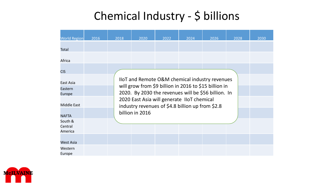# Chemical Industry - \$ billions

| <b>World Region</b>           | 2016 | 2018                                                      | 2020                                                                                                                                                                                                           | 2022 | 2024 | 2026 | 2028 | 2030 |  |
|-------------------------------|------|-----------------------------------------------------------|----------------------------------------------------------------------------------------------------------------------------------------------------------------------------------------------------------------|------|------|------|------|------|--|
| Total                         |      |                                                           |                                                                                                                                                                                                                |      |      |      |      |      |  |
| Africa                        |      |                                                           |                                                                                                                                                                                                                |      |      |      |      |      |  |
| <b>CIS</b>                    |      |                                                           |                                                                                                                                                                                                                |      |      |      |      |      |  |
| East Asia                     |      | <b>IIOT and Remote O&amp;M chemical industry revenues</b> |                                                                                                                                                                                                                |      |      |      |      |      |  |
| Eastern<br>Europe             |      |                                                           | will grow from \$9 billion in 2016 to \$15 billion in<br>2020. By 2030 the revenues will be \$56 billion. In<br>2020 East Asia will generate IIoT chemical<br>industry revenues of \$4.8 billion up from \$2.8 |      |      |      |      |      |  |
| <b>Middle East</b>            |      |                                                           |                                                                                                                                                                                                                |      |      |      |      |      |  |
| <b>NAFTA</b>                  |      | billion in 2016                                           |                                                                                                                                                                                                                |      |      |      |      |      |  |
| South &<br>Central<br>America |      |                                                           |                                                                                                                                                                                                                |      |      |      |      |      |  |
| West Asia                     |      |                                                           |                                                                                                                                                                                                                |      |      |      |      |      |  |
| Western<br>Europe             |      |                                                           |                                                                                                                                                                                                                |      |      |      |      |      |  |

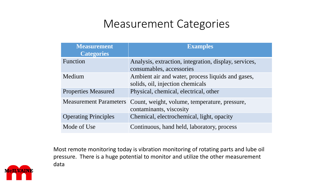### Measurement Categories

| <b>Measurement</b><br><b>Categories</b> | <b>Examples</b>                                                                       |
|-----------------------------------------|---------------------------------------------------------------------------------------|
| Function                                | Analysis, extraction, integration, display, services,<br>consumables, accessories     |
| Medium                                  | Ambient air and water, process liquids and gases,<br>solids, oil, injection chemicals |
| <b>Properties Measured</b>              | Physical, chemical, electrical, other                                                 |
| <b>Measurement Parameters</b>           | Count, weight, volume, temperature, pressure,<br>contaminants, viscosity              |
| <b>Operating Principles</b>             | Chemical, electrochemical, light, opacity                                             |
| Mode of Use                             | Continuous, hand held, laboratory, process                                            |

Most remote monitoring today is vibration monitoring of rotating parts and lube oil pressure. There is a huge potential to monitor and utilize the other measurement data

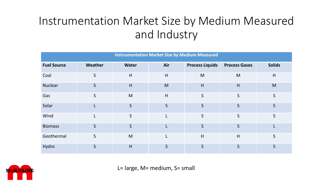# Instrumentation Market Size by Medium Measured and Industry

| <b>Instrumentation Market Size by Medium Measured</b> |              |              |              |                        |                      |               |  |  |
|-------------------------------------------------------|--------------|--------------|--------------|------------------------|----------------------|---------------|--|--|
| <b>Fuel Source</b>                                    | Weather      | <b>Water</b> | Air          | <b>Process Liquids</b> | <b>Process Gases</b> | <b>Solids</b> |  |  |
| Coal                                                  | $\mathsf{S}$ | H            | H            | M                      | M                    | H             |  |  |
| <b>Nuclear</b>                                        | $\mathsf{S}$ | H            | M            | H                      | H                    | M             |  |  |
| Gas                                                   | $\mathsf{S}$ | M            | H            | $\mathsf{S}$           | S                    | $\mathsf{S}$  |  |  |
| Solar                                                 |              | $\mathsf{S}$ | $\mathsf{S}$ | $\mathsf{S}$           | S                    | $\mathsf{S}$  |  |  |
| Wind                                                  |              | S            | L            | $\mathsf{S}$           | S                    | $\mathsf{S}$  |  |  |
| <b>Biomass</b>                                        | $\mathsf{S}$ | $\mathsf{S}$ |              | S                      | S                    |               |  |  |
| Geothermal                                            | $\mathsf{S}$ | M            | L            | H                      | H                    | $\mathsf{S}$  |  |  |
| Hydro                                                 | S            | H            | $\mathsf{S}$ | S                      | S                    | $\mathsf{S}$  |  |  |



L= large, M= medium, S= small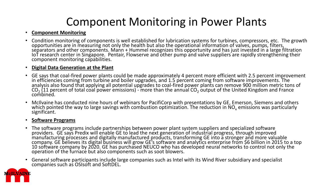## Component Monitoring in Power Plants

#### • **Component Monitoring**

• Condition monitoring of components is well established for lubrication systems for turbines, compressors, etc. The growth opportunities are in measuring not only the health but also the operational information of valves, pumps, filters, separators and other components. Mann + Hummel recognizes this opportunity and has just invested in a large filtration IoT research center in Singapore. Pentair, Flowserve and other pump and valve suppliers are rapidly strengthening their component monitoring capabilities.

#### • **Digital Data Generation at the Plant**

- GE says that coal-fired power plants could be made approximately 4 percent more efficient with 2.5 percent improvement in efficiencies coming from turbine and boiler upgrades, and 1.5 percent coming from software improvements. The analysis also found that applying all potential upgrades to coal-fired power plants can remove 900 million metric tons of  $CO<sub>2</sub>$  (11 percent of total coal power emissions) - more than the annual  $CO<sub>2</sub>$  output of the United Kingdom and France combined.
- McIlvaine has conducted nine hours of webinars for PacifiCorp with presentations by GE, Emerson, Siemens and others which pointed the way to large savings with combustion optimization. The reduction in NO<sub>x</sub> emissions was particularly significant.

#### • **Software Programs**

- The software programs include partnerships between power plant system suppliers and specialized software providers. GE says Predix will enable GE to lead the next generation of industrial progress, through improved manufacturing processes and digitally manufactured products, transforming GE into a stronger and more valuable company. GE believes its digital business will grow GE's software and analytics enterprise from \$6 billion in 2015 to a top 10 software company by 2020. GE has purchased NEUCO who has developed neural networks to control not only the operation of the furnace but also components such as soot blowers.
- General software participants include large companies such as Intel with its Wind River subsidiary and specialist companies such as OSIsoft and SoftDEL.

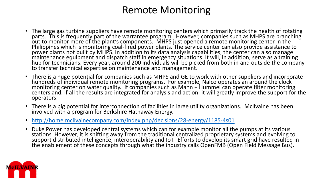#### Remote Monitoring

- The large gas turbine suppliers have remote monitoring centers which primarily track the health of rotating parts. This is frequently part of the warrantee program. However, companies such as MHPS are branching out to monitor more of the plant's components. MHPS just opened a remote monitoring center in the Philippines which is monitoring coal-fired power plants. The service center can also provide assistance to power plants not built by MHPS. In addition to its data analysis capabilities, the center can also manage maintenance equipment and dispatch staff in emergency situations. It will, in addition, serve as a training hub for technicians. Every year, around 200 individuals will be picked from both in and outside the company to transfer technical expertise on maintenance and management.
- There is a huge potential for companies such as MHPS and GE to work with other suppliers and incorporate hundreds of individual remote monitoring programs. For example, Nalco operates an around the clock monitoring center on water quality. If companies such as Mann + Hummel can operate filter monitoring centers and, if all the results are integrated for analysis and action, it will greatly improve the support for the operators.
- There is a big potential for interconnection of facilities in large utility organizations. McIlvaine has been involved with a program for Berkshire Hathaway Energy.
- <http://home.mcilvainecompany.com/index.php/decisions/28-energy/1185-4s01>
- Duke Power has developed central systems which can for example monitor all the pumps at its various stations. However, it is shifting away from the traditional centralized proprietary systems and evolving to support distributed intelligence, interoperability and IoT. Efforts to develop its smart grid have resulted in the enablement of these concepts through what the industry calls OpenFMB (Open Field Message Bus).

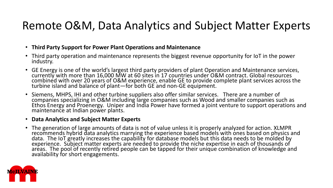### Remote O&M, Data Analytics and Subject Matter Experts

- **Third Party Support for Power Plant Operations and Maintenance**
- Third party operation and maintenance represents the biggest revenue opportunity for IoT in the power industry.
- GE Energy is one of the world's largest third party providers of plant Operation and Maintenance services, currently with more than 16,000 MW at 60 sites in 17 countries under O&M contract. Global resources combined with over 20 years of O&M experience, enable GE to provide complete plant services across the turbine island and balance of plant—for both GE and non-GE equipment.
- Siemens, MHPS, IHI and other turbine suppliers also offer similar services. There are a number of companies specializing in O&M including large companies such as Wood and smaller companies such as Ethos Energy and Proenergy. Uniper and India Power have formed a joint venture to support operations and maintenance at Indian power plants.

#### • **Data Analytics and Subject Matter Experts**

• The generation of large amounts of data is not of value unless it is properly analyzed for action. XLMPR recommends hybrid data analytics marrying the experience based models with ones based on physics and data. The IoT greatly increases the capability for database models but this data needs to be molded by experience. Subject matter experts are needed to provide the niche expertise in each of thousands of areas. The pool of recently retired people can be tapped for their unique combination of knowledge and availability for short engagements.